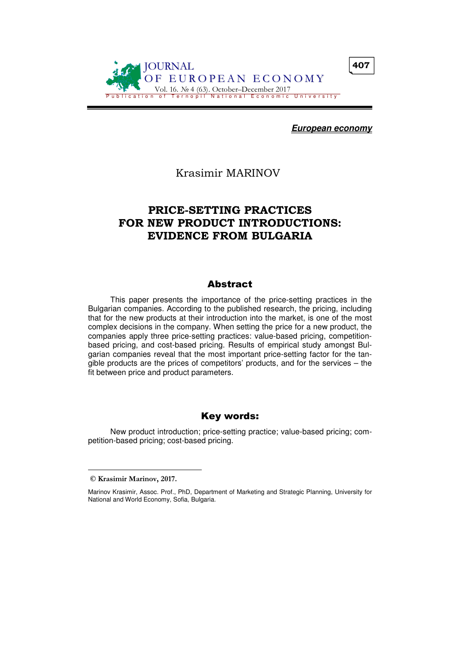

**European economy**

Krasimir MARINOV

# PRICE-SETTING PRACTICES FOR NEW PRODUCT INTRODUCTIONS: EVIDENCE FROM BULGARIA

#### Abstract

This paper presents the importance of the price-setting practices in the Bulgarian companies. According to the published research, the pricing, including that for the new products at their introduction into the market, is one of the most complex decisions in the company. When setting the price for a new product, the companies apply three price-setting practices: value-based pricing, competitionbased pricing, and cost-based pricing. Results of empirical study amongst Bulgarian companies reveal that the most important price-setting factor for the tangible products are the prices of competitors' products, and for the services – the fit between price and product parameters.

#### Key words:

New product introduction; price-setting practice; value-based pricing; competition-based pricing; cost-based pricing.

 $\overline{a}$ 

© Krasimir Marinov, 2017.

Marinov Krasimir, Assoc. Prof., PhD, Department of Marketing and Strategic Planning, University for National and World Economy, Sofia, Bulgaria.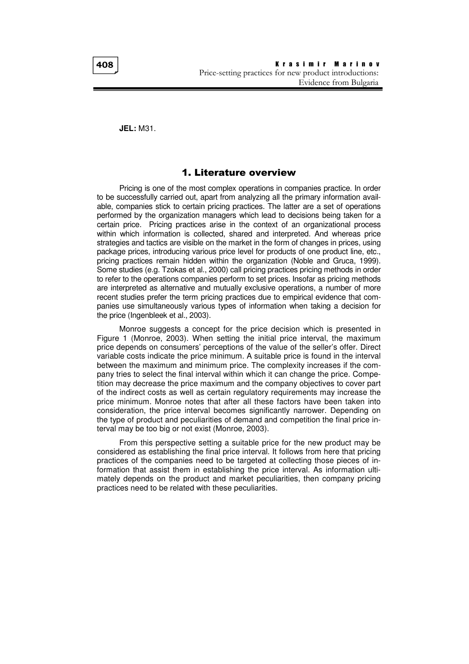**JEL:** M31.

#### 1. Literature overview

Pricing is one of the most complex operations in companies practice. In order to be successfully carried out, apart from analyzing all the primary information available, companies stick to certain pricing practices. The latter are a set of operations performed by the organization managers which lead to decisions being taken for a certain price. Pricing practices arise in the context of an organizational process within which information is collected, shared and interpreted. And whereas price strategies and tactics are visible on the market in the form of changes in prices, using package prices, introducing various price level for products of one product line, etc., pricing practices remain hidden within the organization (Noble and Gruca, 1999). Some studies (e.g. Tzokas et al., 2000) call pricing practices pricing methods in order to refer to the operations companies perform to set prices. Insofar as pricing methods are interpreted as alternative and mutually exclusive operations, a number of more recent studies prefer the term pricing practices due to empirical evidence that companies use simultaneously various types of information when taking a decision for the price (Ingenbleek et al., 2003).

Monroe suggests a concept for the price decision which is presented in Figure 1 (Monroe, 2003). When setting the initial price interval, the maximum price depends on consumers' perceptions of the value of the seller's offer. Direct variable costs indicate the price minimum. A suitable price is found in the interval between the maximum and minimum price. The complexity increases if the company tries to select the final interval within which it can change the price. Competition may decrease the price maximum and the company objectives to cover part of the indirect costs as well as certain regulatory requirements may increase the price minimum. Monroe notes that after all these factors have been taken into consideration, the price interval becomes significantly narrower. Depending on the type of product and peculiarities of demand and competition the final price interval may be too big or not exist (Monroe, 2003).

From this perspective setting a suitable price for the new product may be considered as establishing the final price interval. It follows from here that pricing practices of the companies need to be targeted at collecting those pieces of information that assist them in establishing the price interval. As information ultimately depends on the product and market peculiarities, then company pricing practices need to be related with these peculiarities.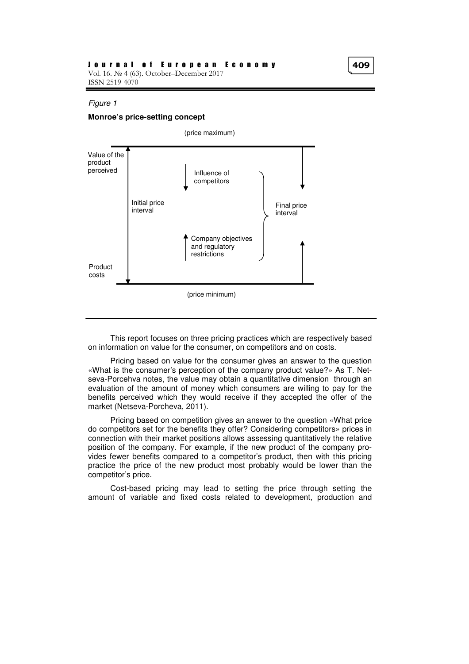#### Figure 1

#### **Monroe's price-setting concept**



This report focuses on three pricing practices which are respectively based on information on value for the consumer, on competitors and on costs.

Pricing based on value for the consumer gives an answer to the question «What is the consumer's perception of the company product value?» As T. Netseva-Porcehva notes, the value may obtain a quantitative dimension through an evaluation of the amount of money which consumers are willing to pay for the benefits perceived which they would receive if they accepted the offer of the market (Netseva-Porcheva, 2011).

Pricing based on competition gives an answer to the question «What price do competitors set for the benefits they offer? Considering competitors» prices in connection with their market positions allows assessing quantitatively the relative position of the company. For example, if the new product of the company provides fewer benefits compared to a competitor's product, then with this pricing practice the price of the new product most probably would be lower than the competitor's price.

Cost-based pricing may lead to setting the price through setting the amount of variable and fixed costs related to development, production and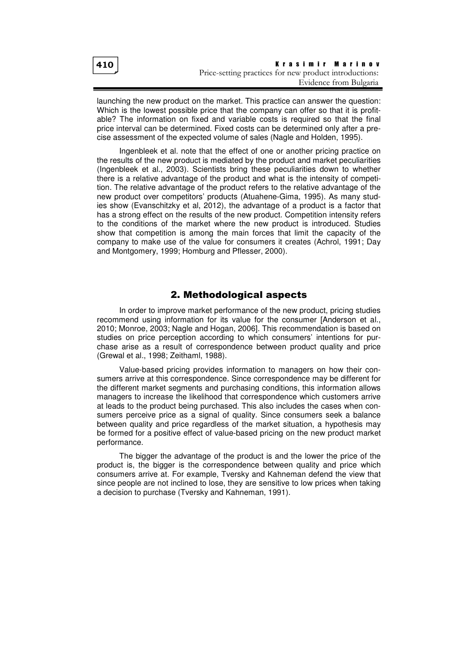launching the new product on the market. This practice can answer the question: Which is the lowest possible price that the company can offer so that it is profitable? The information on fixed and variable costs is required so that the final price interval can be determined. Fixed costs can be determined only after a precise assessment of the expected volume of sales (Nagle and Holden, 1995).

Ingenbleek et al. note that the effect of one or another pricing practice on the results of the new product is mediated by the product and market peculiarities (Ingenbleek et al., 2003). Scientists bring these peculiarities down to whether there is a relative advantage of the product and what is the intensity of competition. The relative advantage of the product refers to the relative advantage of the new product over competitors' products (Atuahene-Gima, 1995). As many studies show (Evanschitzky et al, 2012), the advantage of a product is a factor that has a strong effect on the results of the new product. Competition intensity refers to the conditions of the market where the new product is introduced. Studies show that competition is among the main forces that limit the capacity of the company to make use of the value for consumers it creates (Achrol, 1991; Day and Montgomery, 1999; Homburg and Pflesser, 2000).

# 2. Methodological aspects

In order to improve market performance of the new product, pricing studies recommend using information for its value for the consumer [Anderson et al., 2010; Monroe, 2003; Nagle and Hogan, 2006]. This recommendation is based on studies on price perception according to which consumers' intentions for purchase arise as a result of correspondence between product quality and price (Grewal et al., 1998; Zeithaml, 1988).

Value-based pricing provides information to managers on how their consumers arrive at this correspondence. Since correspondence may be different for the different market segments and purchasing conditions, this information allows managers to increase the likelihood that correspondence which customers arrive at leads to the product being purchased. This also includes the cases when consumers perceive price as a signal of quality. Since consumers seek a balance between quality and price regardless of the market situation, a hypothesis may be formed for a positive effect of value-based pricing on the new product market performance.

The bigger the advantage of the product is and the lower the price of the product is, the bigger is the correspondence between quality and price which consumers arrive at. For example, Tversky and Kahneman defend the view that since people are not inclined to lose, they are sensitive to low prices when taking a decision to purchase (Tversky and Kahneman, 1991).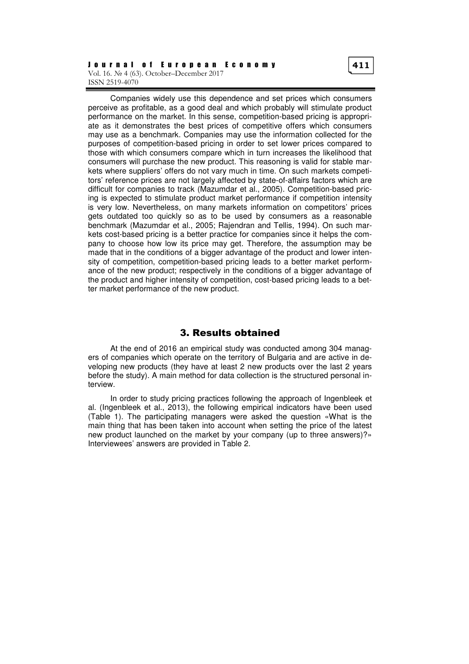Companies widely use this dependence and set prices which consumers perceive as profitable, as a good deal and which probably will stimulate product performance on the market. In this sense, competition-based pricing is appropriate as it demonstrates the best prices of competitive offers which consumers may use as a benchmark. Companies may use the information collected for the purposes of competition-based pricing in order to set lower prices compared to those with which consumers compare which in turn increases the likelihood that consumers will purchase the new product. This reasoning is valid for stable markets where suppliers' offers do not vary much in time. On such markets competitors' reference prices are not largely affected by state-of-affairs factors which are difficult for companies to track (Mazumdar et al., 2005). Competition-based pricing is expected to stimulate product market performance if competition intensity is very low. Nevertheless, on many markets information on competitors' prices gets outdated too quickly so as to be used by consumers as a reasonable benchmark (Mazumdar et al., 2005; Rajendran and Tellis, 1994). On such markets cost-based pricing is a better practice for companies since it helps the company to choose how low its price may get. Therefore, the assumption may be made that in the conditions of a bigger advantage of the product and lower intensity of competition, competition-based pricing leads to a better market performance of the new product; respectively in the conditions of a bigger advantage of the product and higher intensity of competition, cost-based pricing leads to a better market performance of the new product.

# 3. Results obtained

At the end of 2016 an empirical study was conducted among 304 managers of companies which operate on the territory of Bulgaria and are active in developing new products (they have at least 2 new products over the last 2 years before the study). A main method for data collection is the structured personal interview.

In order to study pricing practices following the approach of Ingenbleek et al. (Ingenbleek et al., 2013), the following empirical indicators have been used (Table 1). The participating managers were asked the question «What is the main thing that has been taken into account when setting the price of the latest new product launched on the market by your company (up to three answers)?» Interviewees' answers are provided in Table 2.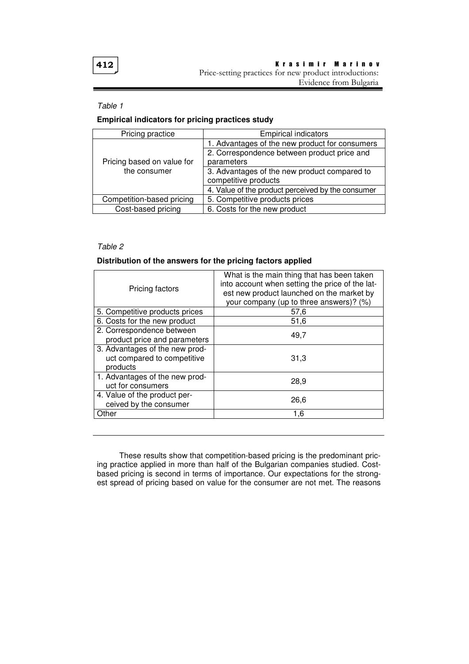#### Table 1

# **Empirical indicators for pricing practices study**

| Pricing practice           | <b>Empirical indicators</b>                       |  |
|----------------------------|---------------------------------------------------|--|
|                            | 1. Advantages of the new product for consumers    |  |
|                            | 2. Correspondence between product price and       |  |
| Pricing based on value for | parameters                                        |  |
| the consumer               | 3. Advantages of the new product compared to      |  |
|                            | competitive products                              |  |
|                            | 4. Value of the product perceived by the consumer |  |
| Competition-based pricing  | 5. Competitive products prices                    |  |
| Cost-based pricing         | 6. Costs for the new product                      |  |

# Table 2

### **Distribution of the answers for the pricing factors applied**

| Pricing factors                                                           | What is the main thing that has been taken<br>into account when setting the price of the lat-<br>est new product launched on the market by<br>your company (up to three answers)? (%) |  |
|---------------------------------------------------------------------------|---------------------------------------------------------------------------------------------------------------------------------------------------------------------------------------|--|
| 5. Competitive products prices                                            | 57,6                                                                                                                                                                                  |  |
| 6. Costs for the new product                                              | 51,6                                                                                                                                                                                  |  |
| 2. Correspondence between<br>product price and parameters                 | 49,7                                                                                                                                                                                  |  |
| 3. Advantages of the new prod-<br>uct compared to competitive<br>products | 31,3                                                                                                                                                                                  |  |
| 1. Advantages of the new prod-<br>uct for consumers                       | 28,9                                                                                                                                                                                  |  |
| 4. Value of the product per-<br>ceived by the consumer                    | 26,6                                                                                                                                                                                  |  |
| Other                                                                     | 1,6                                                                                                                                                                                   |  |

These results show that competition-based pricing is the predominant pricing practice applied in more than half of the Bulgarian companies studied. Costbased pricing is second in terms of importance. Our expectations for the strongest spread of pricing based on value for the consumer are not met. The reasons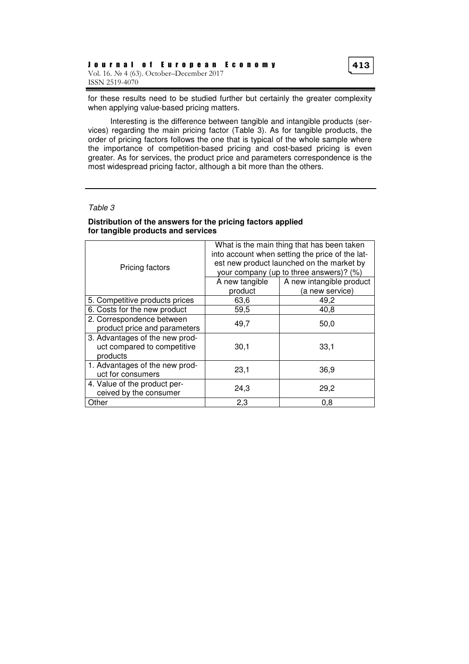for these results need to be studied further but certainly the greater complexity when applying value-based pricing matters.

Interesting is the difference between tangible and intangible products (services) regarding the main pricing factor (Table 3). As for tangible products, the order of pricing factors follows the one that is typical of the whole sample where the importance of competition-based pricing and cost-based pricing is even greater. As for services, the product price and parameters correspondence is the most widespread pricing factor, although a bit more than the others.

#### Table 3

#### **Distribution of the answers for the pricing factors applied for tangible products and services**

| Pricing factors                                                           | What is the main thing that has been taken<br>into account when setting the price of the lat-<br>est new product launched on the market by<br>your company (up to three answers)? (%) |                          |
|---------------------------------------------------------------------------|---------------------------------------------------------------------------------------------------------------------------------------------------------------------------------------|--------------------------|
|                                                                           | A new tangible                                                                                                                                                                        | A new intangible product |
|                                                                           | product                                                                                                                                                                               | (a new service)          |
| 5. Competitive products prices                                            | 63,6                                                                                                                                                                                  | 49,2                     |
| 6. Costs for the new product                                              | 59,5                                                                                                                                                                                  | 40,8                     |
| 2. Correspondence between                                                 | 49.7                                                                                                                                                                                  | 50,0                     |
| product price and parameters                                              |                                                                                                                                                                                       |                          |
| 3. Advantages of the new prod-<br>uct compared to competitive<br>products | 30,1                                                                                                                                                                                  | 33,1                     |
| 1. Advantages of the new prod-<br>uct for consumers                       | 23,1                                                                                                                                                                                  | 36,9                     |
| 4. Value of the product per-<br>ceived by the consumer                    | 24,3                                                                                                                                                                                  | 29,2                     |
| Other                                                                     | 2,3                                                                                                                                                                                   | 0,8                      |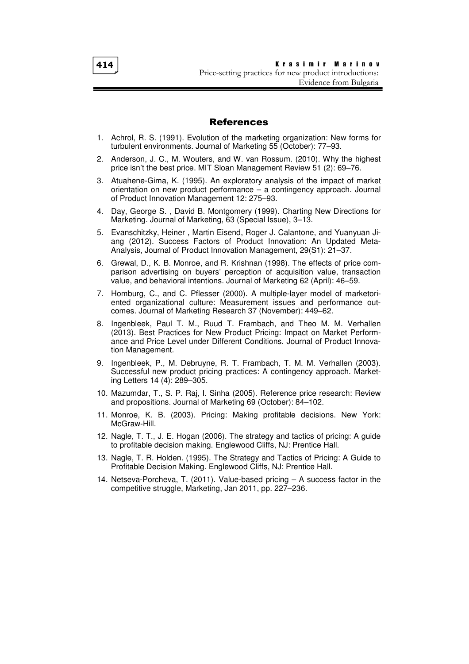414

K r a s i m i r M a r i n o v Price-setting practices for new product introductions: Evidence from Bulgaria

### References

- 1. Achrol, R. S. (1991). Evolution of the marketing organization: New forms for turbulent environments. Journal of Marketing 55 (October): 77–93.
- 2. Anderson, J. C., M. Wouters, and W. van Rossum. (2010). Why the highest price isn't the best price. MIT Sloan Management Review 51 (2): 69–76.
- 3. Atuahene-Gima, K. (1995). An exploratory analysis of the impact of market orientation on new product performance – a contingency approach. Journal of Product Innovation Management 12: 275–93.
- 4. Day, George S. , David B. Montgomery (1999). Charting New Directions for Marketing. Journal of Marketing, 63 (Special Issue), 3–13.
- 5. Evanschitzky, Heiner , Martin Eisend, Roger J. Calantone, and Yuanyuan Jiang (2012). Success Factors of Product Innovation: An Updated Meta-Analysis, Journal of Product Innovation Management, 29(S1): 21–37.
- 6. Grewal, D., K. B. Monroe, and R. Krishnan (1998). The effects of price comparison advertising on buyers' perception of acquisition value, transaction value, and behavioral intentions. Journal of Marketing 62 (April): 46–59.
- 7. Homburg, C., and C. Pflesser (2000). A multiple-layer model of marketoriented organizational culture: Measurement issues and performance outcomes. Journal of Marketing Research 37 (November): 449–62.
- 8. Ingenbleek, Paul T. M., Ruud T. Frambach, and Theo M. M. Verhallen (2013). Best Practices for New Product Pricing: Impact on Market Performance and Price Level under Different Conditions. Journal of Product Innovation Management.
- 9. Ingenbleek, P., M. Debruyne, R. T. Frambach, T. M. M. Verhallen (2003). Successful new product pricing practices: A contingency approach. Marketing Letters 14 (4): 289–305.
- 10. Mazumdar, T., S. P. Raj, I. Sinha (2005). Reference price research: Review and propositions. Journal of Marketing 69 (October): 84–102.
- 11. Monroe, K. B. (2003). Pricing: Making profitable decisions. New York: McGraw-Hill.
- 12. Nagle, T. T., J. E. Hogan (2006). The strategy and tactics of pricing: A guide to profitable decision making. Englewood Cliffs, NJ: Prentice Hall.
- 13. Nagle, T. R. Holden. (1995). The Strategy and Tactics of Pricing: A Guide to Profitable Decision Making. Englewood Cliffs, NJ: Prentice Hall.
- 14. Netseva-Porcheva, T. (2011). Value-based pricing A success factor in the competitive struggle, Marketing, Jan 2011, pp. 227–236.